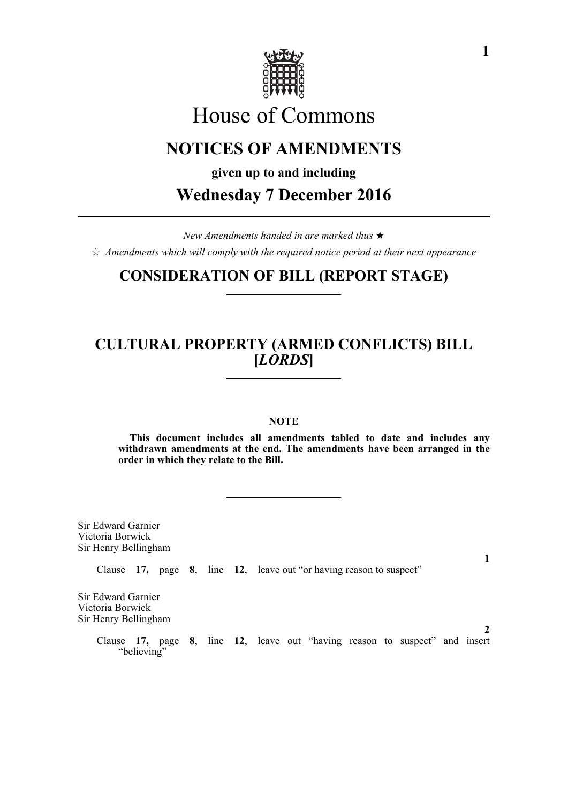

# House of Commons

# **NOTICES OF AMENDMENTS**

**given up to and including**

**Wednesday 7 December 2016**

*New Amendments handed in are marked thus*   $\hat{\varphi}$  Amendments which will comply with the required notice period at their next appearance

## **CONSIDERATION OF BILL (REPORT STAGE)**

### **CULTURAL PROPERTY (ARMED CONFLICTS) BILL [***LORDS***]**

#### **NOTE**

**This document includes all amendments tabled to date and includes any withdrawn amendments at the end. The amendments have been arranged in the order in which they relate to the Bill.**

Sir Edward Garnier Victoria Borwick Sir Henry Bellingham

Clause **17,** page **8**, line **12**, leave out "or having reason to suspect"

Sir Edward Garnier Victoria Borwick Sir Henry Bellingham

> Clause **17,** page **8**, line **12**, leave out "having reason to suspect" and insert "believing"

**1**

**2**